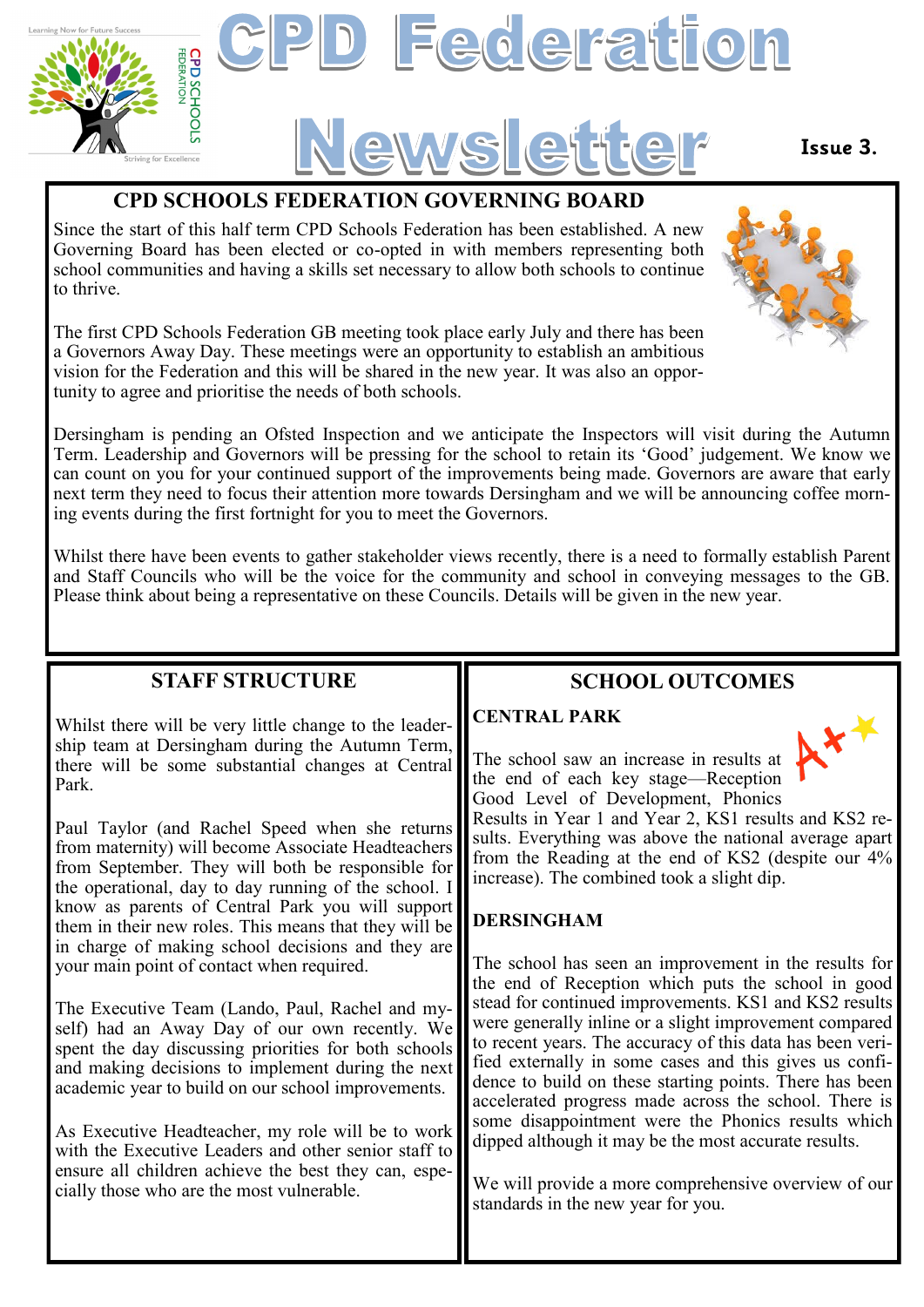

### **CPD SCHOOLS FEDERATION GOVERNING BOARD**

Since the start of this half term CPD Schools Federation has been established. A new Governing Board has been elected or co-opted in with members representing both school communities and having a skills set necessary to allow both schools to continue to thrive.

The first CPD Schools Federation GB meeting took place early July and there has been a Governors Away Day. These meetings were an opportunity to establish an ambitious vision for the Federation and this will be shared in the new year. It was also an opportunity to agree and prioritise the needs of both schools.

Dersingham is pending an Ofsted Inspection and we anticipate the Inspectors will visit during the Autumn Term. Leadership and Governors will be pressing for the school to retain its 'Good' judgement. We know we can count on you for your continued support of the improvements being made. Governors are aware that early next term they need to focus their attention more towards Dersingham and we will be announcing coffee morning events during the first fortnight for you to meet the Governors.

Whilst there have been events to gather stakeholder views recently, there is a need to formally establish Parent and Staff Councils who will be the voice for the community and school in conveying messages to the GB. Please think about being a representative on these Councils. Details will be given in the new year.

#### **STAFF STRUCTURE**

Whilst there will be very little change to the leadership team at Dersingham during the Autumn Term, there will be some substantial changes at Central Park.

Paul Taylor (and Rachel Speed when she returns from maternity) will become Associate Headteachers from September. They will both be responsible for the operational, day to day running of the school. I know as parents of Central Park you will support them in their new roles. This means that they will be in charge of making school decisions and they are your main point of contact when required.

The Executive Team (Lando, Paul, Rachel and myself) had an Away Day of our own recently. We spent the day discussing priorities for both schools and making decisions to implement during the next academic year to build on our school improvements.

As Executive Headteacher, my role will be to work with the Executive Leaders and other senior staff to ensure all children achieve the best they can, especially those who are the most vulnerable.

## **SCHOOL OUTCOMES**

#### **CENTRAL PARK**

The school saw an increase in results at the end of each key stage—Reception Good Level of Development, Phonics

Results in Year 1 and Year 2, KS1 results and KS2 results. Everything was above the national average apart from the Reading at the end of KS2 (despite our 4% increase). The combined took a slight dip.

#### **DERSINGHAM**

The school has seen an improvement in the results for the end of Reception which puts the school in good stead for continued improvements. KS1 and KS2 results were generally inline or a slight improvement compared to recent years. The accuracy of this data has been verified externally in some cases and this gives us confidence to build on these starting points. There has been accelerated progress made across the school. There is some disappointment were the Phonics results which dipped although it may be the most accurate results.

We will provide a more comprehensive overview of our standards in the new year for you.